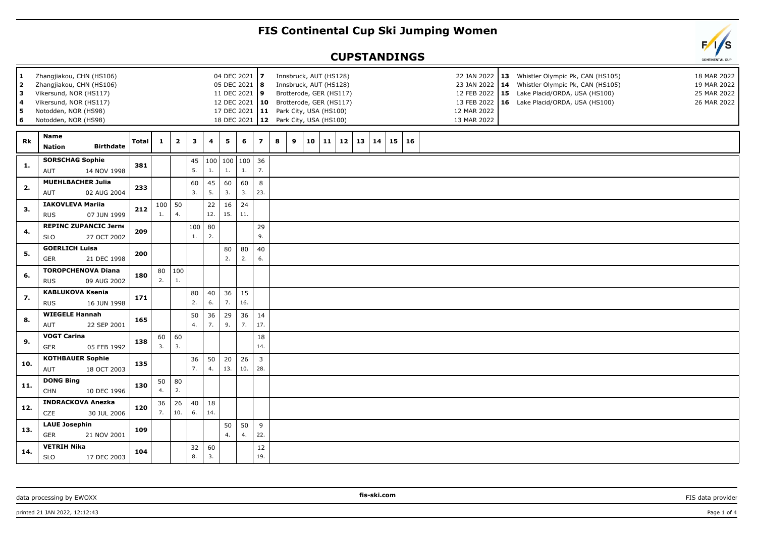## **FIS Continental Cup Ski Jumping Women**

## **CUPSTANDINGS**



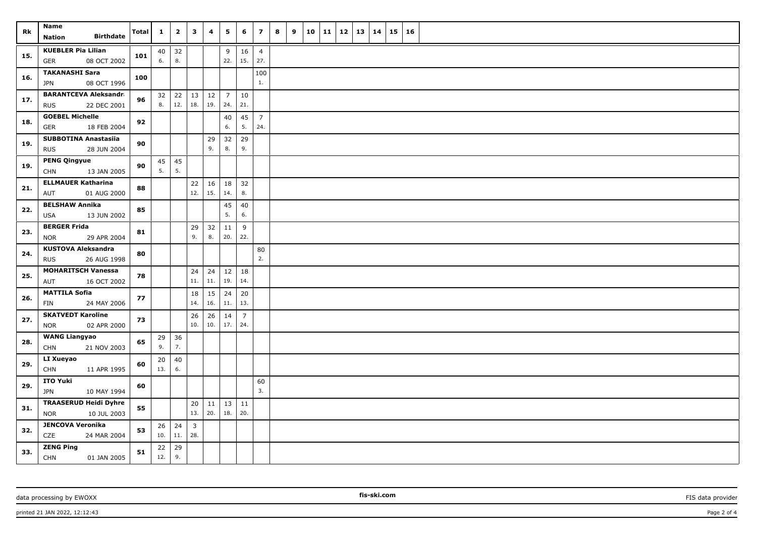| Rk  | Name<br><b>Birthdate</b><br><b>Nation</b>                 | Total | 1         | $\overline{\mathbf{2}}$ | 3                              | $\overline{4}$ | 5                     | 6                     | $\overline{z}$        | 8 | 9 | 10 | 11 | 12 | 13 | 14 | 15 | 16 |  |
|-----|-----------------------------------------------------------|-------|-----------|-------------------------|--------------------------------|----------------|-----------------------|-----------------------|-----------------------|---|---|----|----|----|----|----|----|----|--|
| 15. | <b>KUEBLER Pia Lilian</b><br>08 OCT 2002<br><b>GER</b>    | 101   | 40<br>6.  | 32<br>8.                |                                |                | 9<br>22.              | 16<br>15.             | $\overline{4}$<br>27. |   |   |    |    |    |    |    |    |    |  |
| 16. | <b>TAKANASHI Sara</b><br>08 OCT 1996<br>JPN               | 100   |           |                         |                                |                |                       |                       | 100<br>1.             |   |   |    |    |    |    |    |    |    |  |
| 17. | <b>BARANTCEVA Aleksandra</b><br><b>RUS</b><br>22 DEC 2001 | 96    | 32<br>8.  | 22<br>12.               | 13<br>18.                      | 12<br>19.      | $\overline{7}$<br>24. | 10<br>21.             |                       |   |   |    |    |    |    |    |    |    |  |
| 18. | <b>GOEBEL Michelle</b><br>18 FEB 2004<br>GER              | 92    |           |                         |                                |                | 40<br>6.              | 45<br>5.              | $\overline{7}$<br>24. |   |   |    |    |    |    |    |    |    |  |
| 19. | <b>SUBBOTINA Anastasiia</b><br><b>RUS</b><br>28 JUN 2004  | 90    |           |                         |                                | 29<br>9.       | 32<br>8.              | 29<br>9.              |                       |   |   |    |    |    |    |    |    |    |  |
| 19. | <b>PENG Qingyue</b><br>13 JAN 2005<br><b>CHN</b>          | 90    | 45<br>5.  | 45<br>5.                |                                |                |                       |                       |                       |   |   |    |    |    |    |    |    |    |  |
| 21. | <b>ELLMAUER Katharina</b><br>01 AUG 2000<br>AUT           | 88    |           |                         | 22<br>12.                      | 16<br>15.      | 18<br>14.             | 32<br>8.              |                       |   |   |    |    |    |    |    |    |    |  |
| 22. | <b>BELSHAW Annika</b><br><b>USA</b><br>13 JUN 2002        | 85    |           |                         |                                |                | 45<br>5.              | 40<br>6.              |                       |   |   |    |    |    |    |    |    |    |  |
| 23. | <b>BERGER Frida</b><br>29 APR 2004<br><b>NOR</b>          | 81    |           |                         | 29<br>9.                       | 32<br>8.       | 11<br>20.             | 9<br>22.              |                       |   |   |    |    |    |    |    |    |    |  |
| 24. | <b>KUSTOVA Aleksandra</b><br>26 AUG 1998<br><b>RUS</b>    | 80    |           |                         |                                |                |                       |                       | 80<br>2.              |   |   |    |    |    |    |    |    |    |  |
| 25. | <b>MOHARITSCH Vanessa</b><br>AUT<br>16 OCT 2002           | 78    |           |                         | 24<br>$11.$                    | 24<br>11.      | 12<br>19.             | 18<br>14.             |                       |   |   |    |    |    |    |    |    |    |  |
| 26. | <b>MATTILA Sofia</b><br>24 MAY 2006<br><b>FIN</b>         | 77    |           |                         | 18<br>14.                      | 15<br>16.      | 24<br>11.             | 20<br>13.             |                       |   |   |    |    |    |    |    |    |    |  |
| 27. | <b>SKATVEDT Karoline</b><br>02 APR 2000<br><b>NOR</b>     | 73    |           |                         | 26<br>10.                      | 26<br>10.      | 14<br>17.             | $\overline{7}$<br>24. |                       |   |   |    |    |    |    |    |    |    |  |
| 28. | <b>WANG Liangyao</b><br>21 NOV 2003<br><b>CHN</b>         | 65    | 29<br>9.  | 36<br>7.                |                                |                |                       |                       |                       |   |   |    |    |    |    |    |    |    |  |
| 29. | LI Xueyao<br><b>CHN</b><br>11 APR 1995                    | 60    | 20<br>13. | $40\,$<br>6.            |                                |                |                       |                       |                       |   |   |    |    |    |    |    |    |    |  |
| 29. | ITO Yuki<br><b>JPN</b><br>10 MAY 1994                     | 60    |           |                         |                                |                |                       |                       | 60<br>3.              |   |   |    |    |    |    |    |    |    |  |
| 31. | <b>TRAASERUD Heidi Dyhre</b><br><b>NOR</b><br>10 JUL 2003 | 55    |           |                         | 20<br>13.                      | 11<br>20.      | 18.                   | $13 \mid 11$<br>20.   |                       |   |   |    |    |    |    |    |    |    |  |
| 32. | <b>JENCOVA Veronika</b><br>CZE<br>24 MAR 2004             | 53    | 26<br>10. | 24<br>$11.$             | $\overline{\mathbf{3}}$<br>28. |                |                       |                       |                       |   |   |    |    |    |    |    |    |    |  |
| 33. | <b>ZENG Ping</b><br><b>CHN</b><br>01 JAN 2005             | 51    | 22<br>12. | 29<br>9.                |                                |                |                       |                       |                       |   |   |    |    |    |    |    |    |    |  |

data processing by EWOXX **FIS data provider FIS data provider FIS data provider FIS data provider FIS data provider**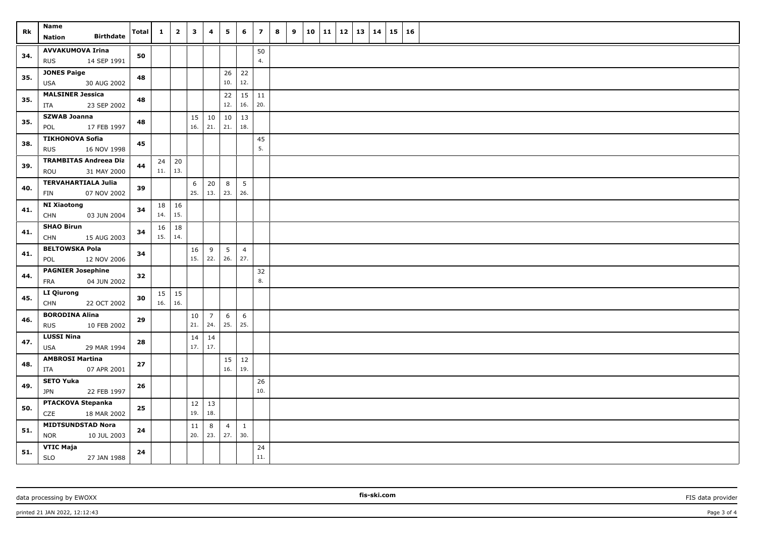| Rk  | <b>Name</b><br><b>Birthdate</b><br><b>Nation</b>      | <b>Total</b> | $\mathbf{1}$ | $\overline{\mathbf{2}}$ | $\mathbf{3}$ | $\overline{\mathbf{4}}$ | 5                     | 6                     | $\overline{\phantom{a}}$ | 8<br>9 | 10 | 11 | 12 | $\vert$ 13 | 14 | 15 | <b>16</b> |  |
|-----|-------------------------------------------------------|--------------|--------------|-------------------------|--------------|-------------------------|-----------------------|-----------------------|--------------------------|--------|----|----|----|------------|----|----|-----------|--|
| 34. | <b>AVVAKUMOVA Irina</b><br>14 SEP 1991<br><b>RUS</b>  | 50           |              |                         |              |                         |                       |                       | 50<br>4.                 |        |    |    |    |            |    |    |           |  |
| 35. | <b>JONES Paige</b><br>30 AUG 2002<br>USA              | 48           |              |                         |              |                         | 26<br>10.             | 22<br>12.             |                          |        |    |    |    |            |    |    |           |  |
| 35. | <b>MALSINER Jessica</b><br>23 SEP 2002<br>ITA         | 48           |              |                         |              |                         | 22<br>12.             | 15<br>16.             | 11<br>20.                |        |    |    |    |            |    |    |           |  |
| 35. | <b>SZWAB Joanna</b><br>POL<br>17 FEB 1997             | 48           |              |                         | 15<br>16.    | 10<br>21.               | $10\,$<br>21.         | 13<br>18.             |                          |        |    |    |    |            |    |    |           |  |
| 38. | <b>TIKHONOVA Sofia</b><br>16 NOV 1998<br><b>RUS</b>   | 45           |              |                         |              |                         |                       |                       | 45<br>5.                 |        |    |    |    |            |    |    |           |  |
| 39. | <b>TRAMBITAS Andreea Dia</b><br>ROU<br>31 MAY 2000    | 44           | 24<br>11.    | 20<br>13.               |              |                         |                       |                       |                          |        |    |    |    |            |    |    |           |  |
| 40. | <b>TERVAHARTIALA Julia</b><br>07 NOV 2002<br>FIN      | 39           |              |                         | 6<br>25.     | 20<br>13.               | 8<br>23.              | 5<br>26.              |                          |        |    |    |    |            |    |    |           |  |
| 41. | <b>NI Xiaotong</b><br><b>CHN</b><br>03 JUN 2004       | 34           | 18<br>14.    | 16<br>15.               |              |                         |                       |                       |                          |        |    |    |    |            |    |    |           |  |
| 41. | <b>SHAO Birun</b><br><b>CHN</b><br>15 AUG 2003        | 34           | 16<br>15.    | $18\,$<br>14.           |              |                         |                       |                       |                          |        |    |    |    |            |    |    |           |  |
| 41. | <b>BELTOWSKA Pola</b><br>12 NOV 2006<br>POL           | 34           |              |                         | 16<br>15.    | 9<br>22.                | 5<br>26.              | $\overline{4}$<br>27. |                          |        |    |    |    |            |    |    |           |  |
| 44. | <b>PAGNIER Josephine</b><br><b>FRA</b><br>04 JUN 2002 | 32           |              |                         |              |                         |                       |                       | 32<br>8.                 |        |    |    |    |            |    |    |           |  |
| 45. | <b>LI Qiurong</b><br><b>CHN</b><br>22 OCT 2002        | 30           | 15<br>16.    | 15<br>16.               |              |                         |                       |                       |                          |        |    |    |    |            |    |    |           |  |
| 46. | <b>BORODINA Alina</b><br><b>RUS</b><br>10 FEB 2002    | 29           |              |                         | 10<br>21.    | $\overline{7}$<br>24.   | 6<br>25.              | 6<br>25.              |                          |        |    |    |    |            |    |    |           |  |
| 47. | <b>LUSSI Nina</b><br>29 MAR 1994<br>USA               | 28           |              |                         | 14<br>17.    | 14<br>17.               |                       |                       |                          |        |    |    |    |            |    |    |           |  |
| 48. | <b>AMBROSI Martina</b><br>07 APR 2001<br>ITA          | 27           |              |                         |              |                         | 15<br>16.             | $\vert$ 12<br>19.     |                          |        |    |    |    |            |    |    |           |  |
| 49. | <b>SETO Yuka</b><br>22 FEB 1997<br>JPN                | 26           |              |                         |              |                         |                       |                       | 26<br>10.                |        |    |    |    |            |    |    |           |  |
| 50. | PTACKOVA Stepanka<br><b>CZE</b><br>18 MAR 2002        | 25           |              |                         | 12<br>19.    | 13<br>18.               |                       |                       |                          |        |    |    |    |            |    |    |           |  |
| 51. | <b>MIDTSUNDSTAD Nora</b><br><b>NOR</b><br>10 JUL 2003 | ${\bf 24}$   |              |                         | 11<br>20.    | 8<br>23.                | $\overline{4}$<br>27. | $\mathbf{1}$<br>30.   |                          |        |    |    |    |            |    |    |           |  |
| 51. | VTIC Maja<br><b>SLO</b><br>27 JAN 1988                | 24           |              |                         |              |                         |                       |                       | 24<br>$11. \,$           |        |    |    |    |            |    |    |           |  |

printed 21 JAN 2022, 12:12:43 Page 3 of 4